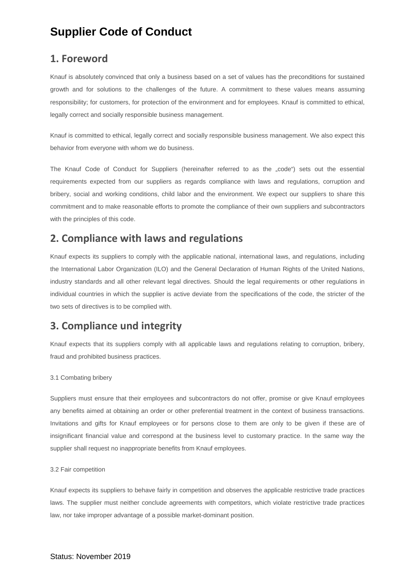### **1. Foreword**

Knauf is absolutely convinced that only a business based on a set of values has the preconditions for sustained growth and for solutions to the challenges of the future. A commitment to these values means assuming responsibility; for customers, for protection of the environment and for employees. Knauf is committed to ethical, legally correct and socially responsible business management.

Knauf is committed to ethical, legally correct and socially responsible business management. We also expect this behavior from everyone with whom we do business.

The Knauf Code of Conduct for Suppliers (hereinafter referred to as the "code") sets out the essential requirements expected from our suppliers as regards compliance with laws and regulations, corruption and bribery, social and working conditions, child labor and the environment. We expect our suppliers to share this commitment and to make reasonable efforts to promote the compliance of their own suppliers and subcontractors with the principles of this code.

### **2. Compliance with laws and regulations**

Knauf expects its suppliers to comply with the applicable national, international laws, and regulations, including the International Labor Organization (ILO) and the General Declaration of Human Rights of the United Nations, industry standards and all other relevant legal directives. Should the legal requirements or other regulations in individual countries in which the supplier is active deviate from the specifications of the code, the stricter of the two sets of directives is to be complied with.

### **3. Compliance und integrity**

Knauf expects that its suppliers comply with all applicable laws and regulations relating to corruption, bribery, fraud and prohibited business practices.

#### 3.1 Combating bribery

Suppliers must ensure that their employees and subcontractors do not offer, promise or give Knauf employees any benefits aimed at obtaining an order or other preferential treatment in the context of business transactions. Invitations and gifts for Knauf employees or for persons close to them are only to be given if these are of insignificant financial value and correspond at the business level to customary practice. In the same way the supplier shall request no inappropriate benefits from Knauf employees.

#### 3.2 Fair competition

Knauf expects its suppliers to behave fairly in competition and observes the applicable restrictive trade practices laws. The supplier must neither conclude agreements with competitors, which violate restrictive trade practices law, nor take improper advantage of a possible market-dominant position.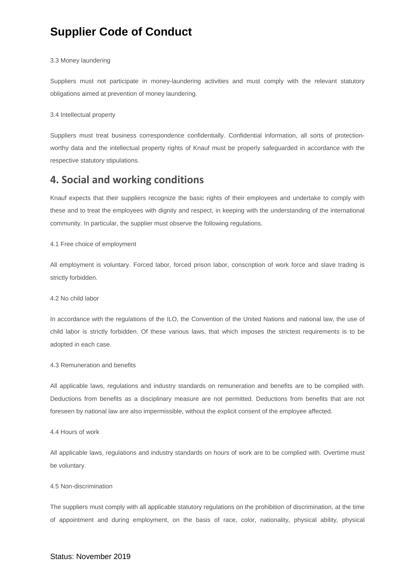#### 3.3 Money laundering

Suppliers must not participate in money-laundering activities and must comply with the relevant statutory obligations aimed at prevention of money laundering.

#### 3.4 Intellectual property

Suppliers must treat business correspondence confidentially. Confidential information, all sorts of protectionworthy data and the intellectual property rights of Knauf must be properly safeguarded in accordance with the respective statutory stipulations.

### **4. Social and working conditions**

Knauf expects that their suppliers recognize the basic rights of their employees and undertake to comply with these and to treat the employees with dignity and respect, in keeping with the understanding of the international community. In particular, the supplier must observe the following regulations.

#### 4.1 Free choice of employment

All employment is voluntary. Forced labor, forced prison labor, conscription of work force and slave trading is strictly forbidden.

#### 4.2 No child labor

In accordance with the regulations of the ILO, the Convention of the United Nations and national law, the use of child labor is strictly forbidden. Of these various laws, that which imposes the strictest requirements is to be adopted in each case.

#### 4.3 Remuneration and benefits

All applicable laws, regulations and industry standards on remuneration and benefits are to be complied with. Deductions from benefits as a disciplinary measure are not permitted. Deductions from benefits that are not foreseen by national law are also impermissible, without the explicit consent of the employee affected.

#### 4.4 Hours of work

All applicable laws, regulations and industry standards on hours of work are to be complied with. Overtime must be voluntary.

#### 4.5 Non-discrimination

The suppliers must comply with all applicable statutory regulations on the prohibition of discrimination, at the time of appointment and during employment, on the basis of race, color, nationality, physical ability, physical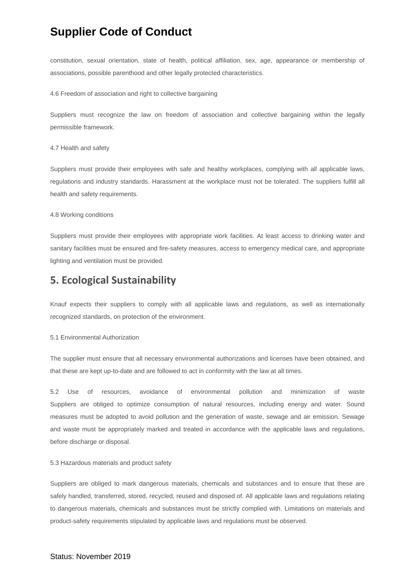constitution, sexual orientation, state of health, political affiliation, sex, age, appearance or membership of associations, possible parenthood and other legally protected characteristics.

#### 4.6 Freedom of association and right to collective bargaining

Suppliers must recognize the law on freedom of association and collective bargaining within the legally permissible framework.

#### 4.7 Health and safety

Suppliers must provide their employees with safe and healthy workplaces, complying with all applicable laws, regulations and industry standards. Harassment at the workplace must not be tolerated. The suppliers fulfill all health and safety requirements.

#### 4.8 Working conditions

Suppliers must provide their employees with appropriate work facilities. At least access to drinking water and sanitary facilities must be ensured and fire-safety measures, access to emergency medical care, and appropriate lighting and ventilation must be provided.

### **5. Ecological Sustainability**

Knauf expects their suppliers to comply with all applicable laws and regulations, as well as internationally recognized standards, on protection of the environment.

#### 5.1 Environmental Authorization

The supplier must ensure that all necessary environmental authorizations and licenses have been obtained, and that these are kept up-to-date and are followed to act in conformity with the law at all times.

5.2 Use of resources, avoidance of environmental pollution and minimization of waste Suppliers are obliged to optimize consumption of natural resources, including energy and water. Sound measures must be adopted to avoid pollution and the generation of waste, sewage and air emission. Sewage and waste must be appropriately marked and treated in accordance with the applicable laws and regulations, before discharge or disposal.

#### 5.3 Hazardous materials and product safety

Suppliers are obliged to mark dangerous materials, chemicals and substances and to ensure that these are safely handled, transferred, stored, recycled, reused and disposed of. All applicable laws and regulations relating to dangerous materials, chemicals and substances must be strictly complied with. Limitations on materials and product-safety requirements stipulated by applicable laws and regulations must be observed.